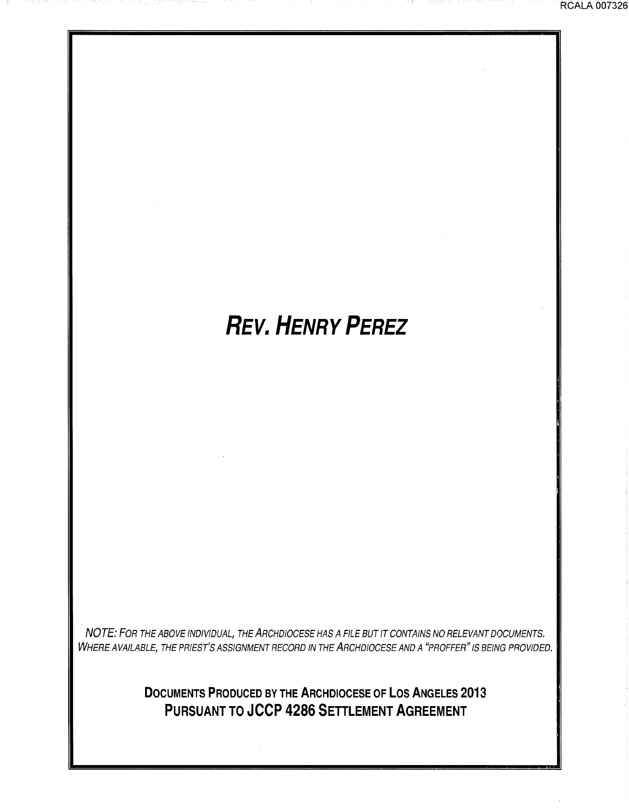## *REV. HENRY PEREZ*

NOTE: FOR THE ABOVE INDIVIDUAL, THE ARCHDIOCESE HAS A FILE BUT IT CONTAINS NO RELEVANT DOCUMENTS. WHERE AVAILABLE, THE PRIEST'S ASSIGNMENT RECORD IN THE ARCHDIOCESE AND A "PROFFER" IS BEING PROVIDED.

> **DOCUMENTS PRODUCED BY THE ARCHDIOCESE OF LOS ANGELES 2013 PURSUANT TO JCCP 4286 SETTLEMENT AGREEMENT**